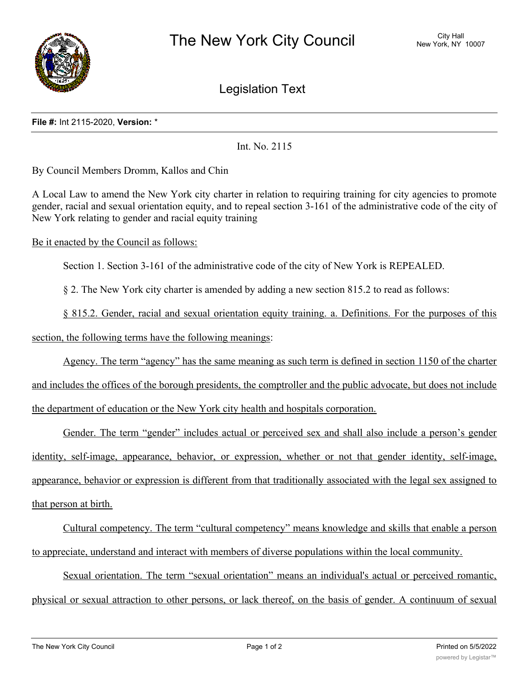

Legislation Text

## **File #:** Int 2115-2020, **Version:** \*

Int. No. 2115

By Council Members Dromm, Kallos and Chin

A Local Law to amend the New York city charter in relation to requiring training for city agencies to promote gender, racial and sexual orientation equity, and to repeal section 3-161 of the administrative code of the city of New York relating to gender and racial equity training

Be it enacted by the Council as follows:

Section 1. Section 3-161 of the administrative code of the city of New York is REPEALED.

§ 2. The New York city charter is amended by adding a new section 815.2 to read as follows:

§ 815.2. Gender, racial and sexual orientation equity training. a. Definitions. For the purposes of this

section, the following terms have the following meanings:

Agency. The term "agency" has the same meaning as such term is defined in section 1150 of the charter

and includes the offices of the borough presidents, the comptroller and the public advocate, but does not include the department of education or the New York city health and hospitals corporation.

Gender. The term "gender" includes actual or perceived sex and shall also include a person's gender identity, self-image, appearance, behavior, or expression, whether or not that gender identity, self-image, appearance, behavior or expression is different from that traditionally associated with the legal sex assigned to that person at birth.

Cultural competency. The term "cultural competency" means knowledge and skills that enable a person to appreciate, understand and interact with members of diverse populations within the local community.

Sexual orientation. The term "sexual orientation" means an individual's actual or perceived romantic, physical or sexual attraction to other persons, or lack thereof, on the basis of gender. A continuum of sexual